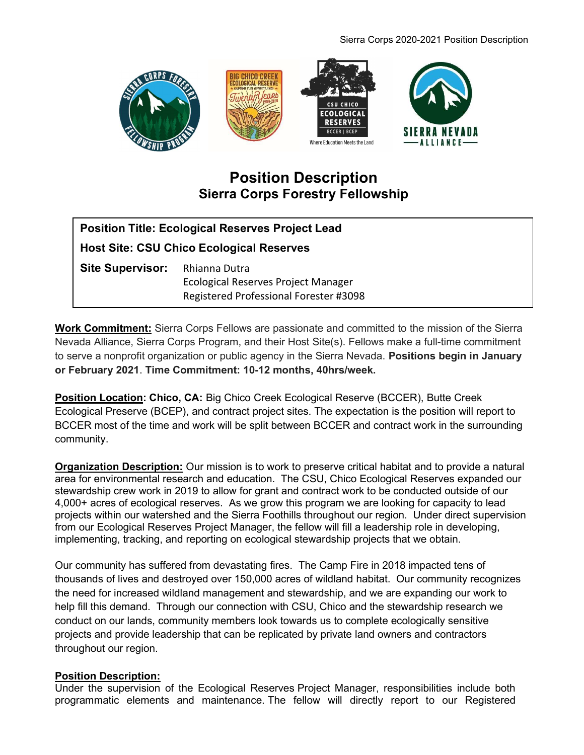#### Sierra Corps 2020-2021 Position Description



# Position Description Sierra Corps Forestry Fellowship

| <b>Position Title: Ecological Reserves Project Lead</b> |                                                                               |
|---------------------------------------------------------|-------------------------------------------------------------------------------|
| <b>Host Site: CSU Chico Ecological Reserves</b>         |                                                                               |
| Site Supervisor: Rhianna Dutra                          | Ecological Reserves Project Manager<br>Registered Professional Forester #3098 |

Work Commitment: Sierra Corps Fellows are passionate and committed to the mission of the Sierra Nevada Alliance, Sierra Corps Program, and their Host Site(s). Fellows make a full-time commitment to serve a nonprofit organization or public agency in the Sierra Nevada. Positions begin in January or February 2021. Time Commitment: 10-12 months, 40hrs/week.

**Position Location: Chico, CA: Big Chico Creek Ecological Reserve (BCCER), Butte Creek** Ecological Preserve (BCEP), and contract project sites. The expectation is the position will report to BCCER most of the time and work will be split between BCCER and contract work in the surrounding community.

**Organization Description:** Our mission is to work to preserve critical habitat and to provide a natural area for environmental research and education. The CSU, Chico Ecological Reserves expanded our stewardship crew work in 2019 to allow for grant and contract work to be conducted outside of our 4,000+ acres of ecological reserves. As we grow this program we are looking for capacity to lead projects within our watershed and the Sierra Foothills throughout our region. Under direct supervision from our Ecological Reserves Project Manager, the fellow will fill a leadership role in developing, implementing, tracking, and reporting on ecological stewardship projects that we obtain.

Our community has suffered from devastating fires. The Camp Fire in 2018 impacted tens of thousands of lives and destroyed over 150,000 acres of wildland habitat. Our community recognizes the need for increased wildland management and stewardship, and we are expanding our work to help fill this demand. Through our connection with CSU, Chico and the stewardship research we conduct on our lands, community members look towards us to complete ecologically sensitive projects and provide leadership that can be replicated by private land owners and contractors throughout our region.

#### Position Description:

Under the supervision of the Ecological Reserves Project Manager, responsibilities include both programmatic elements and maintenance. The fellow will directly report to our Registered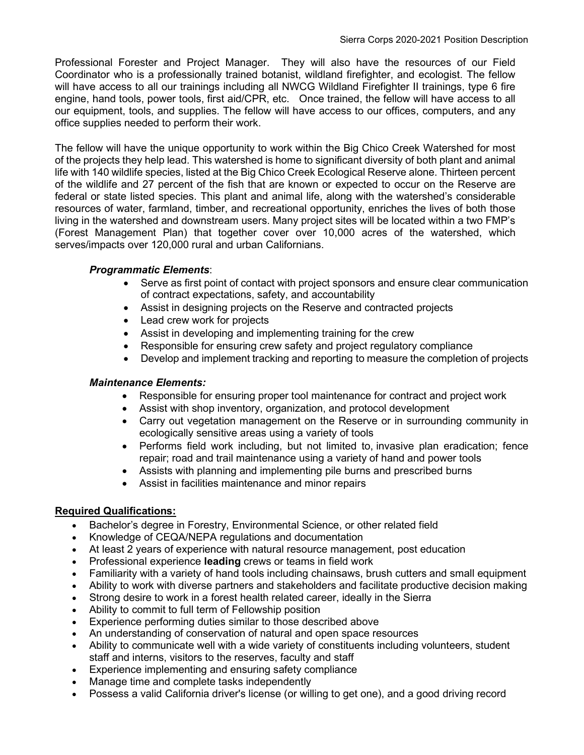Professional Forester and Project Manager. They will also have the resources of our Field Coordinator who is a professionally trained botanist, wildland firefighter, and ecologist. The fellow will have access to all our trainings including all NWCG Wildland Firefighter II trainings, type 6 fire engine, hand tools, power tools, first aid/CPR, etc. Once trained, the fellow will have access to all our equipment, tools, and supplies. The fellow will have access to our offices, computers, and any office supplies needed to perform their work.

The fellow will have the unique opportunity to work within the Big Chico Creek Watershed for most of the projects they help lead. This watershed is home to significant diversity of both plant and animal life with 140 wildlife species, listed at the Big Chico Creek Ecological Reserve alone. Thirteen percent of the wildlife and 27 percent of the fish that are known or expected to occur on the Reserve are federal or state listed species. This plant and animal life, along with the watershed's considerable resources of water, farmland, timber, and recreational opportunity, enriches the lives of both those living in the watershed and downstream users. Many project sites will be located within a two FMP's (Forest Management Plan) that together cover over 10,000 acres of the watershed, which serves/impacts over 120,000 rural and urban Californians.

## Programmatic Elements:

- Serve as first point of contact with project sponsors and ensure clear communication of contract expectations, safety, and accountability
- Assist in designing projects on the Reserve and contracted projects
- Lead crew work for projects
- Assist in developing and implementing training for the crew
- Responsible for ensuring crew safety and project regulatory compliance
- Develop and implement tracking and reporting to measure the completion of projects

#### Maintenance Elements:

- Responsible for ensuring proper tool maintenance for contract and project work
- Assist with shop inventory, organization, and protocol development
- Carry out vegetation management on the Reserve or in surrounding community in ecologically sensitive areas using a variety of tools
- Performs field work including, but not limited to, invasive plan eradication; fence repair; road and trail maintenance using a variety of hand and power tools
- Assists with planning and implementing pile burns and prescribed burns
- Assist in facilities maintenance and minor repairs

## Required Qualifications:

- Bachelor's degree in Forestry, Environmental Science, or other related field
- Knowledge of CEQA/NEPA regulations and documentation
- At least 2 years of experience with natural resource management, post education
- Professional experience **leading** crews or teams in field work
- Familiarity with a variety of hand tools including chainsaws, brush cutters and small equipment
- Ability to work with diverse partners and stakeholders and facilitate productive decision making
- Strong desire to work in a forest health related career, ideally in the Sierra
- Ability to commit to full term of Fellowship position
- Experience performing duties similar to those described above
- An understanding of conservation of natural and open space resources
- Ability to communicate well with a wide variety of constituents including volunteers, student staff and interns, visitors to the reserves, faculty and staff
- Experience implementing and ensuring safety compliance
- Manage time and complete tasks independently
- Possess a valid California driver's license (or willing to get one), and a good driving record